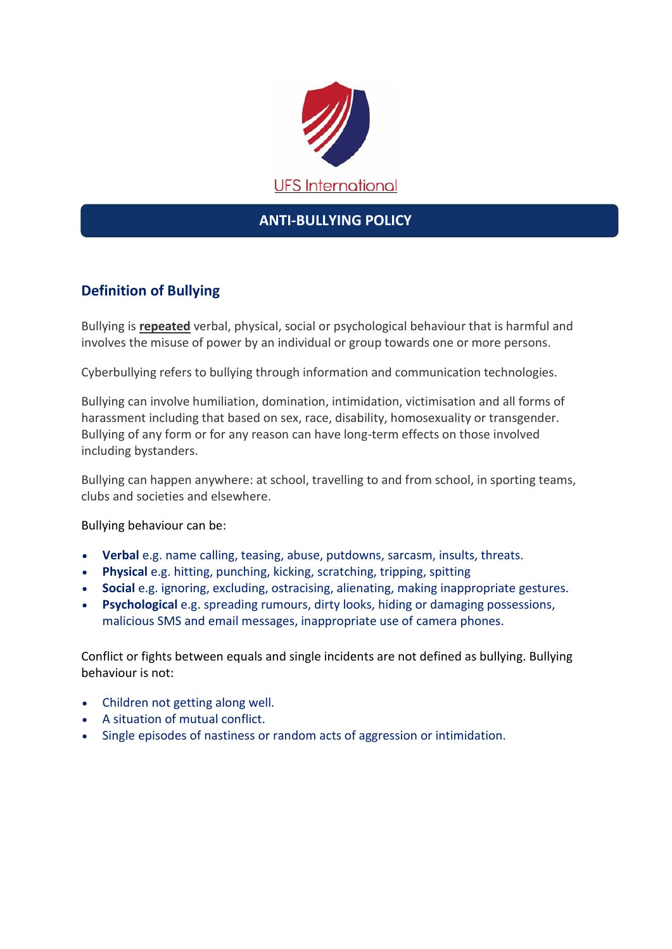

## **ANTI-BULLYING POLICY**

## **Definition of Bullying**

Bullying is **repeated** verbal, physical, social or psychological behaviour that is harmful and involves the misuse of power by an individual or group towards one or more persons.

Cyberbullying refers to bullying through information and communication technologies.

Bullying can involve humiliation, domination, intimidation, victimisation and all forms of harassment including that based on sex, race, disability, homosexuality or transgender. Bullying of any form or for any reason can have long-term effects on those involved including bystanders.

Bullying can happen anywhere: at school, travelling to and from school, in sporting teams, clubs and societies and elsewhere.

Bullying behaviour can be:

- **Verbal** e.g. name calling, teasing, abuse, putdowns, sarcasm, insults, threats.
- **Physical** e.g. hitting, punching, kicking, scratching, tripping, spitting
- **Social** e.g. ignoring, excluding, ostracising, alienating, making inappropriate gestures.
- **Psychological** e.g. spreading rumours, dirty looks, hiding or damaging possessions, malicious SMS and email messages, inappropriate use of camera phones.

Conflict or fights between equals and single incidents are not defined as bullying. Bullying behaviour is not:

- Children not getting along well.
- A situation of mutual conflict.
- Single episodes of nastiness or random acts of aggression or intimidation.